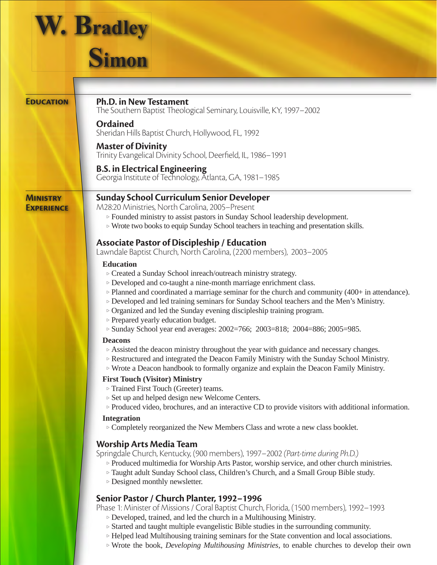

## **Simon**

| <b>EDUCATION</b>  | <b>Ph.D. in New Testament</b><br>The Southern Baptist Theological Seminary, Louisville, KY, 1997-2002                                                                                               |
|-------------------|-----------------------------------------------------------------------------------------------------------------------------------------------------------------------------------------------------|
|                   | <b>Ordained</b>                                                                                                                                                                                     |
|                   | Sheridan Hills Baptist Church, Hollywood, FL, 1992                                                                                                                                                  |
|                   | <b>Master of Divinity</b><br>Trinity Evangelical Divinity School, Deerfield, IL, 1986-1991                                                                                                          |
|                   | <b>B.S. in Electrical Engineering</b><br>Georgia Institute of Technology, Atlanta, GA, 1981–1985                                                                                                    |
| <b>MINISTRY</b>   | <b>Sunday School Curriculum Senior Developer</b>                                                                                                                                                    |
| <b>EXPERIENCE</b> | M28:20 Ministries, North Carolina, 2005–Present                                                                                                                                                     |
|                   | > Founded ministry to assist pastors in Sunday School leadership development.<br>> Wrote two books to equip Sunday School teachers in teaching and presentation skills.                             |
|                   |                                                                                                                                                                                                     |
|                   | <b>Associate Pastor of Discipleship / Education</b><br>Lawndale Baptist Church, North Carolina, (2200 members), 2003–2005                                                                           |
|                   | <b>Education</b>                                                                                                                                                                                    |
|                   | ▷ Created a Sunday School inreach/outreach ministry strategy.                                                                                                                                       |
|                   | $\triangleright$ Developed and co-taught a nine-month marriage enrichment class.                                                                                                                    |
|                   | $\triangleright$ Planned and coordinated a marriage seminar for the church and community (400+ in attendance).                                                                                      |
|                   | > Developed and led training seminars for Sunday School teachers and the Men's Ministry.                                                                                                            |
|                   | > Organized and led the Sunday evening discipleship training program.                                                                                                                               |
|                   | ▷ Prepared yearly education budget.                                                                                                                                                                 |
|                   | ▷ Sunday School year end averages: 2002=766; 2003=818; 2004=886; 2005=985.                                                                                                                          |
|                   | <b>Deacons</b>                                                                                                                                                                                      |
|                   | $\triangleright$ Assisted the deacon ministry throughout the year with guidance and necessary changes.<br>> Restructured and integrated the Deacon Family Ministry with the Sunday School Ministry. |
|                   | $\triangleright$ Wrote a Deacon handbook to formally organize and explain the Deacon Family Ministry.                                                                                               |
|                   | <b>First Touch (Visitor) Ministry</b>                                                                                                                                                               |
|                   | ▷ Trained First Touch (Greeter) teams.                                                                                                                                                              |
|                   | $\triangleright$ Set up and helped design new Welcome Centers.                                                                                                                                      |
|                   | $\triangleright$ Produced video, brochures, and an interactive CD to provide visitors with additional information.                                                                                  |
|                   | <b>Integration</b>                                                                                                                                                                                  |
|                   | ▷ Completely reorganized the New Members Class and wrote a new class booklet.                                                                                                                       |
|                   | <b>Worship Arts Media Team</b>                                                                                                                                                                      |
|                   | Springdale Church, Kentucky, (900 members), 1997-2002 (Part-time during Ph.D.)                                                                                                                      |
|                   | ▷ Produced multimedia for Worship Arts Pastor, worship service, and other church ministries.                                                                                                        |
|                   | > Taught adult Sunday School class, Children's Church, and a Small Group Bible study.                                                                                                               |
|                   | $\triangleright$ Designed monthly newsletter.                                                                                                                                                       |
|                   | Senior Pastor / Church Planter, 1992-1996                                                                                                                                                           |
|                   | Phase 1: Minister of Missions / Coral Baptist Church, Florida, (1500 members), 1992–1993                                                                                                            |
|                   | $\triangleright$ Developed, trained, and led the church in a Multihousing Ministry.                                                                                                                 |
|                   | > Started and taught multiple evangelistic Bible studies in the surrounding community.                                                                                                              |
|                   | ▷ Helped lead Multihousing training seminars for the State convention and local associations.                                                                                                       |

<sup>Z</sup> Wrote the book, *Developing Multihousing Ministries*, to enable churches to develop their own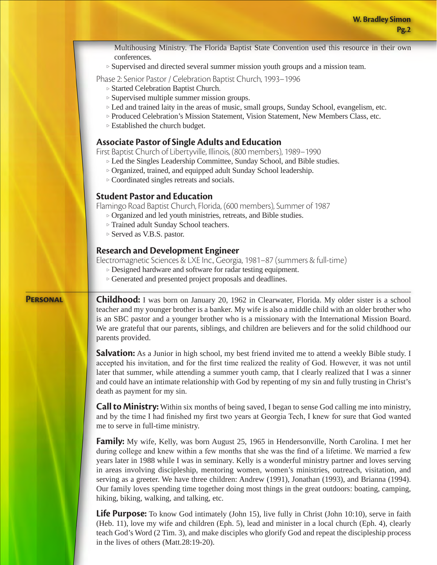| Multihousing Ministry. The Florida Baptist State Convention used this resource in their own<br>conferences.                                                                                                                                                                                                                                                                                                                                                                                                                                                                                                                                                                   |  |
|-------------------------------------------------------------------------------------------------------------------------------------------------------------------------------------------------------------------------------------------------------------------------------------------------------------------------------------------------------------------------------------------------------------------------------------------------------------------------------------------------------------------------------------------------------------------------------------------------------------------------------------------------------------------------------|--|
| $\triangleright$ Supervised and directed several summer mission youth groups and a mission team.                                                                                                                                                                                                                                                                                                                                                                                                                                                                                                                                                                              |  |
| Phase 2: Senior Pastor / Celebration Baptist Church, 1993-1996<br>> Started Celebration Baptist Church.<br>$\triangleright$ Supervised multiple summer mission groups.<br>> Led and trained laity in the areas of music, small groups, Sunday School, evangelism, etc.<br>▷ Produced Celebration's Mission Statement, Vision Statement, New Members Class, etc.<br>> Established the church budget.                                                                                                                                                                                                                                                                           |  |
| <b>Associate Pastor of Single Adults and Education</b><br>First Baptist Church of Libertyville, Illinois, (800 members), 1989-1990<br>> Led the Singles Leadership Committee, Sunday School, and Bible studies.<br>▷ Organized, trained, and equipped adult Sunday School leadership.<br>$\triangleright$ Coordinated singles retreats and socials.                                                                                                                                                                                                                                                                                                                           |  |
| <b>Student Pastor and Education</b><br>Flamingo Road Baptist Church, Florida, (600 members), Summer of 1987<br>▷ Organized and led youth ministries, retreats, and Bible studies.<br>▷ Trained adult Sunday School teachers.<br>▷ Served as V.B.S. pastor.                                                                                                                                                                                                                                                                                                                                                                                                                    |  |
| <b>Research and Development Engineer</b><br>Electromagnetic Sciences & LXE Inc., Georgia, 1981–87 (summers & full-time)<br>> Designed hardware and software for radar testing equipment.<br>> Generated and presented project proposals and deadlines.                                                                                                                                                                                                                                                                                                                                                                                                                        |  |
| <b>Childhood:</b> I was born on January 20, 1962 in Clearwater, Florida. My older sister is a school<br>teacher and my younger brother is a banker. My wife is also a middle child with an older brother who<br>is an SBC pastor and a younger brother who is a missionary with the International Mission Board.<br>We are grateful that our parents, siblings, and children are believers and for the solid childhood our<br>parents provided.                                                                                                                                                                                                                               |  |
| <b>Salvation:</b> As a Junior in high school, my best friend invited me to attend a weekly Bible study. I<br>accepted his invitation, and for the first time realized the reality of God. However, it was not until<br>later that summer, while attending a summer youth camp, that I clearly realized that I was a sinner<br>and could have an intimate relationship with God by repenting of my sin and fully trusting in Christ's<br>death as payment for my sin.                                                                                                                                                                                                          |  |
| <b>Call to Ministry:</b> Within six months of being saved, I began to sense God calling me into ministry,<br>and by the time I had finished my first two years at Georgia Tech, I knew for sure that God wanted<br>me to serve in full-time ministry.                                                                                                                                                                                                                                                                                                                                                                                                                         |  |
| <b>Family:</b> My wife, Kelly, was born August 25, 1965 in Hendersonville, North Carolina. I met her<br>during college and knew within a few months that she was the find of a lifetime. We married a few<br>years later in 1988 while I was in seminary. Kelly is a wonderful ministry partner and loves serving<br>in areas involving discipleship, mentoring women, women's ministries, outreach, visitation, and<br>serving as a greeter. We have three children: Andrew (1991), Jonathan (1993), and Brianna (1994).<br>Our family loves spending time together doing most things in the great outdoors: boating, camping,<br>hiking, biking, walking, and talking, etc. |  |
| <b>Life Purpose:</b> To know God intimately (John 15), live fully in Christ (John 10:10), serve in faith<br>(Hob 11) love my wife and children (Eph 5) load and minister in a local church (Eph 4) closely                                                                                                                                                                                                                                                                                                                                                                                                                                                                    |  |

**Personal**

(Heb. 11), love my wife and children (Eph. 5), lead and minister in a local church (Eph. 4), clearly teach God's Word (2 Tim. 3), and make disciples who glorify God and repeat the discipleship process in the lives of others (Matt.28:19-20).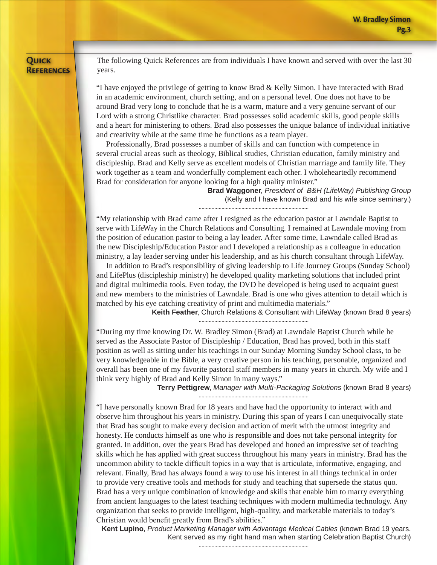## **Quick References**

The following Quick References are from individuals I have known and served with over the last 30 years.

"I have enjoyed the privilege of getting to know Brad & Kelly Simon. I have interacted with Brad in an academic environment, church setting, and on a personal level. One does not have to be around Brad very long to conclude that he is a warm, mature and a very genuine servant of our Lord with a strong Christlike character. Brad possesses solid academic skills, good people skills and a heart for ministering to others. Brad also possesses the unique balance of individual initiative and creativity while at the same time he functions as a team player.

 Professionally, Brad possesses a number of skills and can function with competence in several crucial areas such as theology, Biblical studies, Christian education, family ministry and discipleship. Brad and Kelly serve as excellent models of Christian marriage and family life. They work together as a team and wonderfully complement each other. I wholeheartedly recommend Brad for consideration for anyone looking for a high quality minister."

**Brad Waggoner**, *President of B&H (LifeWay) Publishing Group* (Kelly and I have known Brad and his wife since seminary.) 

"My relationship with Brad came after I resigned as the education pastor at Lawndale Baptist to serve with LifeWay in the Church Relations and Consulting. I remained at Lawndale moving from the position of education pastor to being a lay leader. After some time, Lawndale called Brad as the new Discipleship/Education Pastor and I developed a relationship as a colleague in education ministry, a lay leader serving under his leadership, and as his church consultant through LifeWay.

 In addition to Brad's responsibility of giving leadership to Life Journey Groups (Sunday School) and LifePlus (discipleship ministry) he developed quality marketing solutions that included print and digital multimedia tools. Even today, the DVD he developed is being used to acquaint guest and new members to the ministries of Lawndale. Brad is one who gives attention to detail which is matched by his eye catching creativity of print and multimedia materials."

**Keith Feather**, Church Relations & Consultant with LifeWay (known Brad 8 years) 

"During my time knowing Dr. W. Bradley Simon (Brad) at Lawndale Baptist Church while he served as the Associate Pastor of Discipleship / Education, Brad has proved, both in this staff position as well as sitting under his teachings in our Sunday Morning Sunday School class, to be very knowledgeable in the Bible, a very creative person in his teaching, personable, organized and overall has been one of my favorite pastoral staff members in many years in church. My wife and I think very highly of Brad and Kelly Simon in many ways."

**Terry Pettigrew**, *Manager with Multi-Packaging Solutions* (known Brad 8 years) 

"I have personally known Brad for 18 years and have had the opportunity to interact with and observe him throughout his years in ministry. During this span of years I can unequivocally state that Brad has sought to make every decision and action of merit with the utmost integrity and honesty. He conducts himself as one who is responsible and does not take personal integrity for granted. In addition, over the years Brad has developed and honed an impressive set of teaching skills which he has applied with great success throughout his many years in ministry. Brad has the uncommon ability to tackle difficult topics in a way that is articulate, informative, engaging, and relevant. Finally, Brad has always found a way to use his interest in all things technical in order to provide very creative tools and methods for study and teaching that supersede the status quo. Brad has a very unique combination of knowledge and skills that enable him to marry everything from ancient languages to the latest teaching techniques with modern multimedia technology. Any organization that seeks to provide intelligent, high-quality, and marketable materials to today's Christian would benefit greatly from Brad's abilities."

**Kent Lupino**, *Product Marketing Manager with Advantage Medical Cables* (known Brad 19 years. Kent served as my right hand man when starting Celebration Baptist Church)